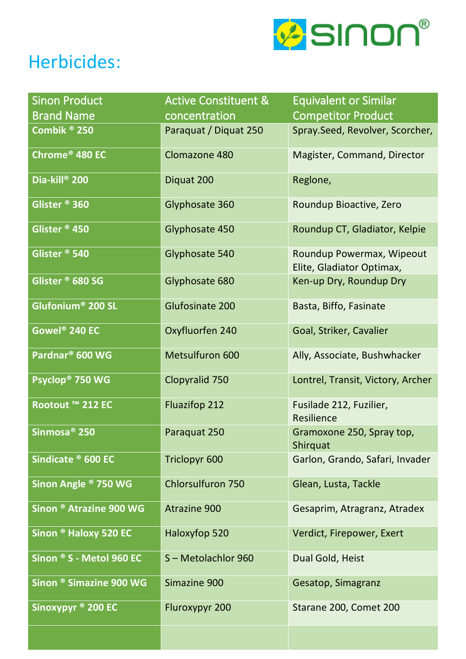

## Herbicides:

| Sinon Product                          | <b>Active Constituent &amp;</b> | <b>Equivalent or Similar</b>                           |
|----------------------------------------|---------------------------------|--------------------------------------------------------|
| <b>Brand Name</b>                      | concentration                   | <b>Competitor Product</b>                              |
| Combik ® 250                           | Paraquat / Diquat 250           | Spray.Seed, Revolver, Scorcher,                        |
| Chrome® 480 EC                         | Clomazone 480                   | Magister, Command, Director                            |
| Dia-kill <sup>®</sup> 200              | Diquat 200                      | Reglone,                                               |
| Glister <sup>®</sup> 360               | Glyphosate 360                  | Roundup Bioactive, Zero                                |
| Glister <sup>®</sup> 450               | Glyphosate 450                  | Roundup CT, Gladiator, Kelpie                          |
| Glister <sup>®</sup> 540               | Glyphosate 540                  | Roundup Powermax, Wipeout<br>Elite, Gladiator Optimax, |
| Glister <sup>®</sup> 680 SG            | Glyphosate 680                  | Ken-up Dry, Roundup Dry                                |
| ${\sf Glufonium}^{\circledast}$ 200 SL | Glufosinate 200                 | Basta, Biffo, Fasinate                                 |
| Gowel® 240 EC                          | Oxyfluorfen 240                 | Goal, Striker, Cavalier                                |
| Pardnar <sup>®</sup> 600 WG            | Metsulfuron 600                 | Ally, Associate, Bushwhacker                           |
| Psyclop <sup>®</sup> 750 WG            | Clopyralid 750                  | Lontrel, Transit, Victory, Archer                      |
| Rootout ™ 212 EC                       | <b>Fluazifop 212</b>            | Fusilade 212, Fuzilier,<br>Resilience                  |
| Sinmosa <sup>®</sup> 250               | Paraquat 250                    | Gramoxone 250, Spray top,<br>Shirquat                  |
| Sindicate ® 600 EC                     | <b>Triclopyr 600</b>            | Garlon, Grando, Safari, Invader                        |
| Sinon Angle <sup>®</sup> 750 WG        | <b>Chlorsulfuron 750</b>        | Glean, Lusta, Tackle                                   |
| Sinon ® Atrazine 900 WG                | <b>Atrazine 900</b>             | Gesaprim, Atragranz, Atradex                           |
| Sinon ® Haloxy 520 EC                  | Haloxyfop 520                   | Verdict, Firepower, Exert                              |
| Sinon ® S - Metol 960 EC               | S-Metolachlor 960               | Dual Gold, Heist                                       |
| Sinon ® Simazine 900 WG                | Simazine 900                    | Gesatop, Simagranz                                     |
| Sinoxypyr ® 200 EC                     | Fluroxypyr 200                  | Starane 200, Comet 200                                 |
|                                        |                                 |                                                        |